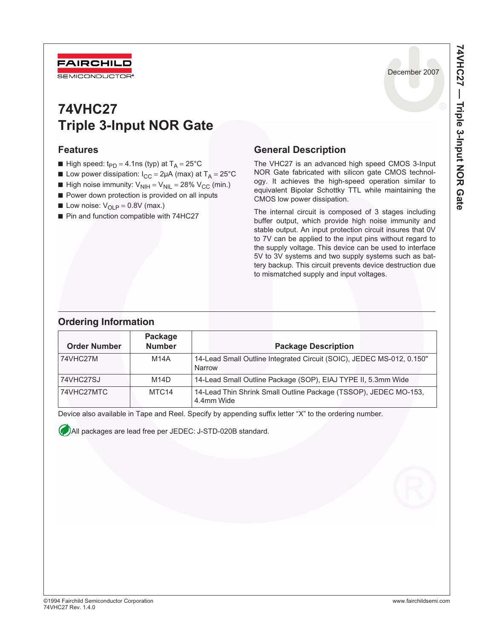

# **74VHC27 Triple 3-Input NOR Gate**

### **Features**

- High speed:  $t_{PD} = 4.1$ ns (typ) at T<sub>A</sub> = 25°C
- **■** Low power dissipation:  $I_{CC} = 2\mu A$  (max) at  $T_A = 25^{\circ}C$
- **High noise immunity:**  $V_{\text{NIH}} = V_{\text{NIL}} = 28\% V_{\text{CC}}$  (min.)
- Power down protection is provided on all inputs
- **Low noise:**  $V_{\text{OLP}} = 0.8V$  (max.)
- Pin and function compatible with 74HC27

## **General Description**

The VHC27 is an advanced high speed CMOS 3-Input NOR Gate fabricated with silicon gate CMOS technology. It achieves the high-speed operation similar to equivalent Bipolar Schottky TTL while maintaining the CMOS low power dissipation.

The internal circuit is composed of 3 stages including buffer output, which provide high noise immunity and stable output. An input protection circuit insures that 0V to 7V can be applied to the input pins without regard to the supply voltage. This device can be used to interface 5V to 3V systems and two supply systems such as battery backup. This circuit prevents device destruction due to mismatched supply and input voltages.

### **Ordering Information**

| <b>Order Number</b> | Package<br><b>Number</b> | <b>Package Description</b>                                                      |
|---------------------|--------------------------|---------------------------------------------------------------------------------|
| 74VHC27M            | M14A                     | 14-Lead Small Outline Integrated Circuit (SOIC), JEDEC MS-012, 0.150"<br>Narrow |
| 74VHC27SJ           | M14D                     | 14-Lead Small Outline Package (SOP), EIAJ TYPE II, 5.3mm Wide                   |
| 74VHC27MTC          | MTC <sub>14</sub>        | 14-Lead Thin Shrink Small Outline Package (TSSOP), JEDEC MO-153,<br>4.4mm Wide  |

Device also available in Tape and Reel. Specify by appending suffix letter "X" to the ordering number.

All packages are lead free per JEDEC: J-STD-020B standard.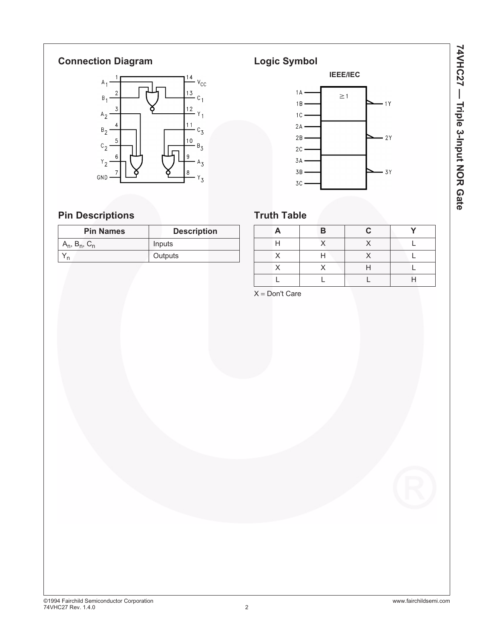# **Connection Diagram**



# **Pin Descriptions**

| <b>Pin Names</b>      | <b>Description</b> |  |  |  |
|-----------------------|--------------------|--|--|--|
| $A_n$ , $B_n$ , $C_n$ | Inputs             |  |  |  |
|                       | Outputs            |  |  |  |

**Logic Symbol IEEE/IEC**  $1A$  $\geq$  1  $1B$  $1Y$  $1C 2\,\mathrm{A}$  $2B$  $-2Y$  $2\,C$  $3A$  $3B$  $-3Y$  $3C$ 

# **Truth Table**

|   | B | C. | $\mathbf{v}$ |
|---|---|----|--------------|
| н |   |    |              |
| v | н | v  |              |
|   |   |    |              |
|   |   |    |              |
|   |   |    |              |

 $X = Don't Care$ 

©1994 Fairchild Semiconductor Corporation www.fairchildsemi.com 74VHC27 Rev. 1.4.0 2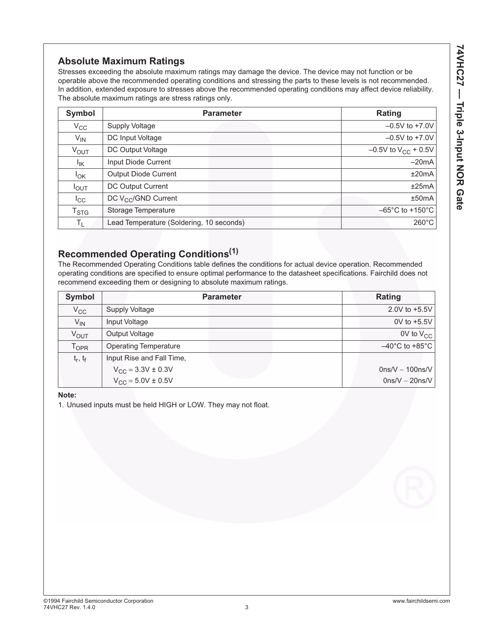## **Absolute Maximum Ratings**

Stresses exceeding the absolute maximum ratings may damage the device. The device may not function or be operable above the recommended operating conditions and stressing the parts to these levels is not recommended. In addition, extended exposure to stresses above the recommended operating conditions may affect device reliability. The absolute maximum ratings are stress ratings only.

| Symbol             | <b>Parameter</b>                         | Rating                               |
|--------------------|------------------------------------------|--------------------------------------|
| $V_{\rm CC}$       | <b>Supply Voltage</b>                    | $-0.5V$ to +7.0V                     |
| $V_{IN}$           | DC Input Voltage                         | $-0.5V$ to +7.0V                     |
| <b>VOUT</b>        | DC Output Voltage                        | $-0.5V$ to $V_{CC}$ + 0.5V           |
| $I_{\mathsf{IK}}$  | Input Diode Current                      | $-20mA$                              |
| $I_{OK}$           | <b>Output Diode Current</b>              | ±20mA                                |
| $I_{OUT}$          | DC Output Current                        | ±25mA                                |
| $I_{\rm CC}$       | DC V <sub>CC</sub> /GND Current          | ±50mA                                |
| $T_{\mathsf{STG}}$ | Storage Temperature                      | $-65^{\circ}$ C to +150 $^{\circ}$ C |
| $T_{L}$            | Lead Temperature (Soldering, 10 seconds) | $260^{\circ}$ C                      |

# **Recommended Operating Conditions(1)**

The Recommended Operating Conditions table defines the conditions for actual device operation. Recommended operating conditions are specified to ensure optimal performance to the datasheet specifications. Fairchild does not recommend exceeding them or designing to absolute maximum ratings.

| Symbol                      | <b>Parameter</b>             | Rating                              |
|-----------------------------|------------------------------|-------------------------------------|
| $V_{CC}$                    | <b>Supply Voltage</b>        | 2.0V to $+5.5V$                     |
| $V_{IN}$                    | Input Voltage                | 0V to +5.5V                         |
| V <sub>OUT</sub>            | Output Voltage               | $0V$ to $V_{CC}$                    |
| $\mathsf{T}_{\mathsf{OPR}}$ | <b>Operating Temperature</b> | $-40^{\circ}$ C to +85 $^{\circ}$ C |
| $t_r, t_f$                  | Input Rise and Fall Time,    |                                     |
|                             | $V_{CC} = 3.3V \pm 0.3V$     | $0$ ns/V ~ 100ns/V                  |
|                             | $V_{CC} = 5.0V \pm 0.5V$     | $0$ ns/V ~ 20ns/V                   |

**Note:**

1. Unused inputs must be held HIGH or LOW. They may not float.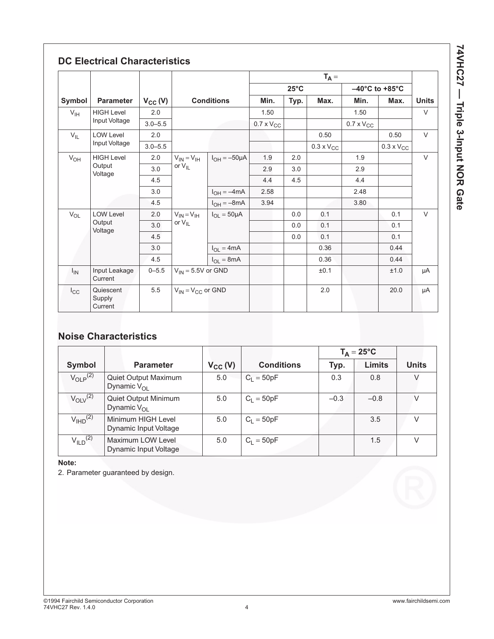|                   |                                |              |                          |                      | $T_A =$             |                |                     |                     |                                     |              |
|-------------------|--------------------------------|--------------|--------------------------|----------------------|---------------------|----------------|---------------------|---------------------|-------------------------------------|--------------|
|                   |                                |              |                          |                      |                     | $25^{\circ}$ C |                     |                     | $-40^{\circ}$ C to +85 $^{\circ}$ C |              |
| Symbol            | <b>Parameter</b>               | $V_{CC} (V)$ |                          | <b>Conditions</b>    | Min.                | Typ.           | Max.                | Min.                | Max.                                | <b>Units</b> |
| V <sub>IH</sub>   | <b>HIGH Level</b>              | 2.0          |                          |                      | 1.50                |                |                     | 1.50                |                                     | V            |
|                   | Input Voltage                  | $3.0 - 5.5$  |                          |                      | $0.7 \times V_{CC}$ |                |                     | $0.7 \times V_{CC}$ |                                     |              |
| $V_{IL}$          | <b>LOW Level</b>               | 2.0          |                          |                      |                     |                | 0.50                |                     | 0.50                                | $\vee$       |
|                   | Input Voltage                  | $3.0 - 5.5$  |                          |                      |                     |                | $0.3 \times V_{CC}$ |                     | $0.3 \times V_{CC}$                 |              |
| $V_{OH}$          | <b>HIGH Level</b>              | 2.0          | $V_{IN} = V_{IH}$        | $I_{OH} = -50 \mu A$ | 1.9                 | 2.0            |                     | 1.9                 |                                     | $\vee$       |
| Output<br>Voltage | 3.0                            | or $V_{II}$  |                          | 2.9                  | 3.0                 |                | 2.9                 |                     |                                     |              |
|                   | 4.5                            |              |                          | 4.4                  | 4.5                 |                | 4.4                 |                     |                                     |              |
|                   | 3.0                            |              | $I_{OH} = -4mA$          | 2.58                 |                     |                | 2.48                |                     |                                     |              |
|                   |                                | 4.5          |                          | $I_{OH} = -8mA$      | 3.94                |                |                     | 3.80                |                                     |              |
| $V_{OL}$          | <b>LOW Level</b><br>Output     | 2.0          | $V_{IN} = V_{IH}$        | $I_{OL} = 50 \mu A$  |                     | 0.0            | 0.1                 |                     | 0.1                                 | V            |
|                   |                                | 3.0          | or $V_{IL}$              |                      |                     | 0.0            | 0.1                 |                     | 0.1                                 |              |
| Voltage           | 4.5                            |              |                          |                      | 0.0                 | 0.1            |                     | 0.1                 |                                     |              |
|                   | 3.0                            |              | $I_{OL} = 4mA$           |                      |                     | 0.36           |                     | 0.44                |                                     |              |
|                   |                                | 4.5          |                          | $I_{OL} = 8mA$       |                     |                | 0.36                |                     | 0.44                                |              |
| $I_{IN}$          | Input Leakage<br>Current       | $0 - 5.5$    | $V_{IN} = 5.5V$ or GND   |                      |                     |                | ±0.1                |                     | ±1.0                                | μA           |
| $I_{\rm CC}$      | Quiescent<br>Supply<br>Current | 5.5          | $V_{IN} = V_{CC}$ or GND |                      |                     |                | 2.0                 |                     | 20.0                                | μA           |

# **Noise Characteristics**

|                          |                                              |              |                   |        | $T_A = 25^{\circ}C$ |              |
|--------------------------|----------------------------------------------|--------------|-------------------|--------|---------------------|--------------|
| Symbol                   | <b>Parameter</b>                             | $V_{CC} (V)$ | <b>Conditions</b> | Typ.   | <b>Limits</b>       | <b>Units</b> |
| $V_{\text{O}}P^{(2)}$    | Quiet Output Maximum<br>Dynamic $V_{\Omega}$ | 5.0          | $C_1 = 50pF$      | 0.3    | 0.8                 | V            |
| $V_{\text{OIV}}^{(2)}$   | Quiet Output Minimum<br>Dynamic $V_{\Omega}$ | 5.0          | $C_1 = 50pF$      | $-0.3$ | $-0.8$              |              |
| $V_{\text{IHD}}^{(2)}$   | Minimum HIGH Level<br>Dynamic Input Voltage  | 5.0          | $C_1 = 50pF$      |        | 3.5                 | $\vee$       |
| $V_{ILD}$ <sup>(2)</sup> | Maximum LOW Level<br>Dynamic Input Voltage   | 5.0          | $C_1 = 50pF$      |        | 1.5                 |              |

**Note:**

2. Parameter guaranteed by design.

74VHC27 - Triple 3-Input NOR Gate **74VHC27 — Triple 3-Input NOR Gate**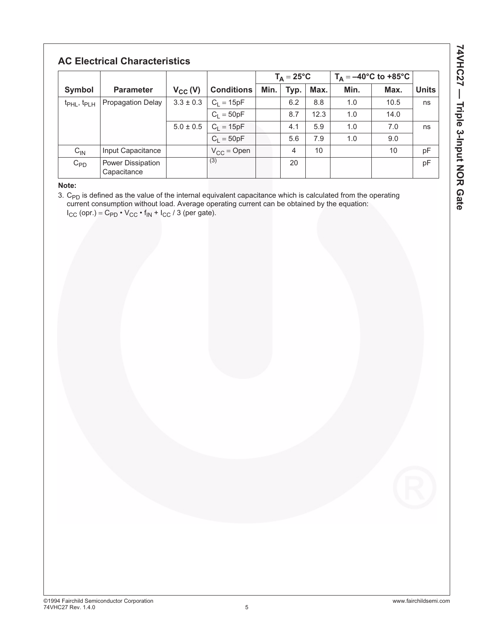# **AC Electrical Characteristics**

|                                     |                                  |               |                   | $T_A = 25^{\circ}C$ |      | $T_A = -40$ °C to +85°C |      |      |              |
|-------------------------------------|----------------------------------|---------------|-------------------|---------------------|------|-------------------------|------|------|--------------|
| Symbol                              | <b>Parameter</b>                 | $V_{CC} (V)$  | <b>Conditions</b> | Min.                | Typ. | Max.                    | Min. | Max. | <b>Units</b> |
| t <sub>PHL</sub> , t <sub>PLH</sub> | <b>Propagation Delay</b>         | $3.3 \pm 0.3$ | $C_1 = 15pF$      |                     | 6.2  | 8.8                     | 1.0  | 10.5 | ns           |
|                                     |                                  |               | $C_1 = 50pF$      |                     | 8.7  | 12.3                    | 1.0  | 14.0 |              |
|                                     |                                  | $5.0 \pm 0.5$ | $C_1 = 15pF$      |                     | 4.1  | 5.9                     | 1.0  | 7.0  | ns           |
|                                     |                                  |               | $C_1 = 50pF$      |                     | 5.6  | 7.9                     | 1.0  | 9.0  |              |
| $C_{IN}$                            | Input Capacitance                |               | $V_{CC}$ = Open   |                     | 4    | 10                      |      | 10   | pF           |
| $C_{PD}$                            | Power Dissipation<br>Capacitance |               | (3)               |                     | 20   |                         |      |      | pF           |

**Note:**

3.  $\mathsf{C}_{\mathsf{PD}}$  is defined as the value of the internal equivalent capacitance which is calculated from the operating current consumption without load. Average operating current can be obtained by the equation:  $I_{CC}$  (opr.) =  $C_{PD} \cdot V_{CC} \cdot f_{IN} + I_{CC} / 3$  (per gate).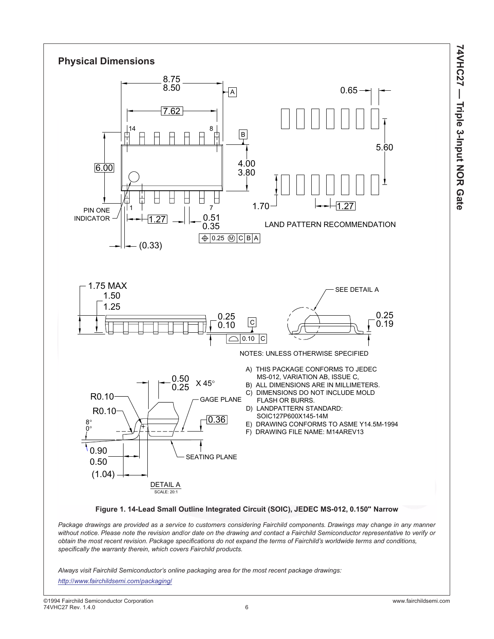



*Package drawings are provided as a service to customers considering Fairchild components. Drawings may change in any manner without notice. Please note the revision and/or date on the drawing and contact a Fairchild Semiconductor representative to verify or obtain the most recent revision. Package specifications do not expand the terms of Fairchild's worldwide terms and conditions, specifically the warranty therein, which covers Fairchild products.*

*Always visit Fairchild Semiconductor's online packaging area for the most recent package drawings:*

*<http://www.fairchildsemi.com/packaging/>*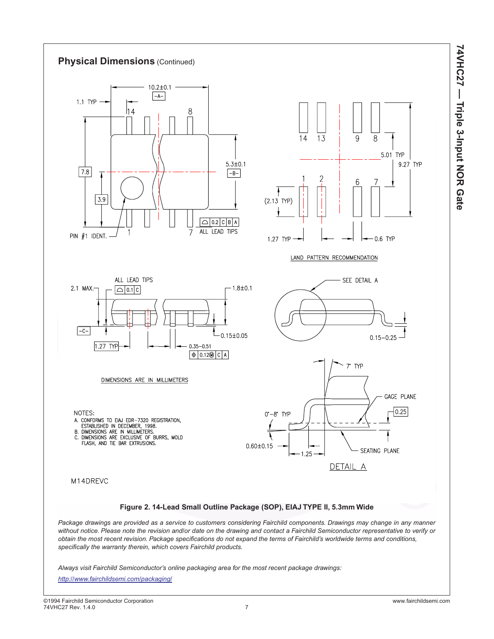



*Always visit Fairchild Semiconductor's online packaging area for the most recent package drawings:*

*<http://www.fairchildsemi.com/packaging/>*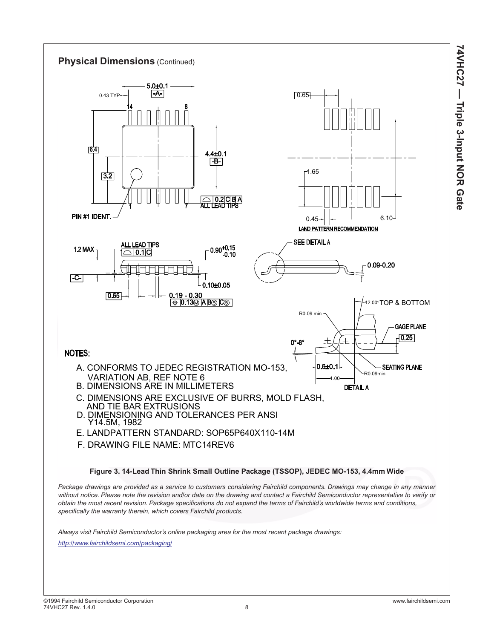